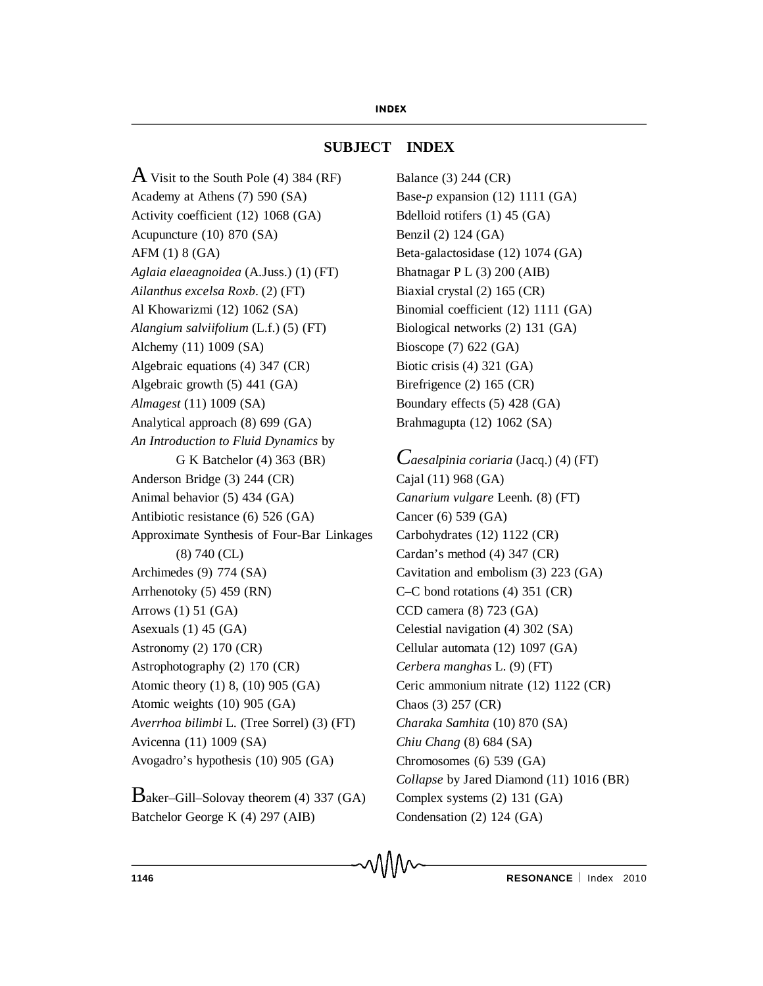# **SUBJECT INDEX**

 $\overline{A}$  Visit to the South Pole (4) 384 (RF) Academy at Athens (7) 590 (SA) Activity coefficient (12) 1068 (GA) Acupuncture (10) 870 (SA) AFM (1) 8 (GA) *Aglaia elaeagnoidea* (A.Juss.) (1) (FT) *Ailanthus excelsa Roxb*. (2) (FT) Al Khowarizmi (12) 1062 (SA) *Alangium salviifolium* (L.f.) (5) (FT) Alchemy (11) 1009 (SA) Algebraic equations (4) 347 (CR) Algebraic growth (5) 441 (GA) *Almagest* (11) 1009 (SA) Analytical approach (8) 699 (GA) *An Introduction to Fluid Dynamics* by G K Batchelor (4) 363 (BR) Anderson Bridge (3) 244 (CR) Animal behavior (5) 434 (GA) Antibiotic resistance (6) 526 (GA) Approximate Synthesis of Four-Bar Linkages (8) 740 (CL) Archimedes (9) 774 (SA) Arrhenotoky (5) 459 (RN) Arrows (1) 51 (GA) Asexuals (1) 45 (GA) Astronomy (2) 170 (CR) Astrophotography (2) 170 (CR) Atomic theory (1) 8, (10) 905 (GA) Atomic weights (10) 905 (GA) *Averrhoa bilimbi* L. (Tree Sorrel) (3) (FT) Avicenna (11) 1009 (SA) Avogadro's hypothesis (10) 905 (GA)

Baker–Gill–Solovay theorem (4) 337 (GA) Batchelor George K (4) 297 (AIB)

Balance (3) 244 (CR) Base-*p* expansion (12) 1111 (GA) Bdelloid rotifers (1) 45 (GA) Benzil (2) 124 (GA) Beta-galactosidase (12) 1074 (GA) Bhatnagar P L (3) 200 (AIB) Biaxial crystal (2) 165 (CR) Binomial coefficient (12) 1111 (GA) Biological networks (2) 131 (GA) Bioscope (7) 622 (GA) Biotic crisis (4) 321 (GA) Birefrigence (2) 165 (CR) Boundary effects (5) 428 (GA) Brahmagupta (12) 1062 (SA)

*Caesalpinia coriaria* (Jacq.) (4) (FT) Cajal (11) 968 (GA) *Canarium vulgare* Leenh. (8) (FT) Cancer (6) 539 (GA) Carbohydrates (12) 1122 (CR) Cardan's method (4) 347 (CR) Cavitation and embolism (3) 223 (GA) C–C bond rotations (4) 351 (CR) CCD camera (8) 723 (GA) Celestial navigation (4) 302 (SA) Cellular automata (12) 1097 (GA) *Cerbera manghas* L. (9) (FT) Ceric ammonium nitrate (12) 1122 (CR) Chaos (3) 257 (CR) *Charaka Samhita* (10) 870 (SA) *Chiu Chang* (8) 684 (SA) Chromosomes (6) 539 (GA) *Collapse* by Jared Diamond (11) 1016 (BR) Complex systems (2) 131 (GA) Condensation (2) 124 (GA)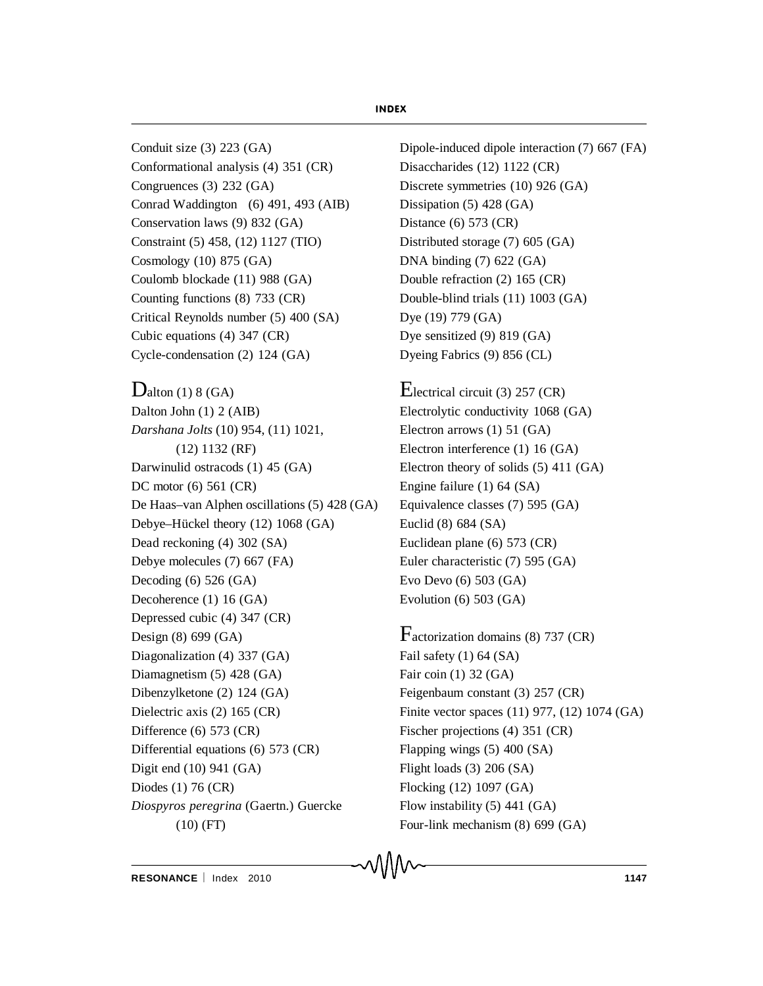Conduit size (3) 223 (GA) Conformational analysis (4) 351 (CR) Congruences (3) 232 (GA) Conrad Waddington (6) 491, 493 (AIB) Conservation laws (9) 832 (GA) Constraint (5) 458, (12) 1127 (TIO) Cosmology (10) 875 (GA) Coulomb blockade (11) 988 (GA) Counting functions (8) 733 (CR) Critical Reynolds number (5) 400 (SA) Cubic equations (4) 347 (CR) Cycle-condensation (2) 124 (GA)

 $D$ alton (1) 8 (GA) Dalton John (1) 2 (AIB) *Darshana Jolts* (10) 954, (11) 1021, (12) 1132 (RF) Darwinulid ostracods (1) 45 (GA) DC motor (6) 561 (CR) De Haas–van Alphen oscillations (5) 428 (GA) Debye–Hückel theory (12) 1068 (GA) Dead reckoning (4) 302 (SA) Debye molecules (7) 667 (FA) Decoding (6) 526 (GA) Decoherence (1) 16 (GA) Depressed cubic (4) 347 (CR) Design (8) 699 (GA) Diagonalization (4) 337 (GA) Diamagnetism (5) 428 (GA) Dibenzylketone (2) 124 (GA) Dielectric axis (2) 165 (CR) Difference (6) 573 (CR) Differential equations (6) 573 (CR) Digit end (10) 941 (GA) Diodes (1) 76 (CR) *Diospyros peregrina* (Gaertn.) Guercke (10) (FT)

Dipole-induced dipole interaction (7) 667 (FA) Disaccharides (12) 1122 (CR) Discrete symmetries (10) 926 (GA) Dissipation (5) 428 (GA) Distance (6) 573 (CR) Distributed storage (7) 605 (GA) DNA binding (7) 622 (GA) Double refraction (2) 165 (CR) Double-blind trials (11) 1003 (GA) Dye (19) 779 (GA) Dye sensitized (9) 819 (GA) Dyeing Fabrics (9) 856 (CL)

Electrical circuit (3) 257 (CR) Electrolytic conductivity 1068 (GA) Electron arrows (1) 51 (GA) Electron interference (1) 16 (GA) Electron theory of solids (5) 411 (GA) Engine failure (1) 64 (SA) Equivalence classes (7) 595 (GA) Euclid (8) 684 (SA) Euclidean plane (6) 573 (CR) Euler characteristic (7) 595 (GA) Evo Devo (6) 503 (GA) Evolution (6) 503 (GA)

Factorization domains (8) 737 (CR) Fail safety (1) 64 (SA) Fair coin (1) 32 (GA) Feigenbaum constant (3) 257 (CR) Finite vector spaces (11) 977, (12) 1074 (GA) Fischer projections (4) 351 (CR) Flapping wings (5) 400 (SA) Flight loads (3) 206 (SA) Flocking (12) 1097 (GA) Flow instability (5) 441 (GA) Four-link mechanism (8) 699 (GA)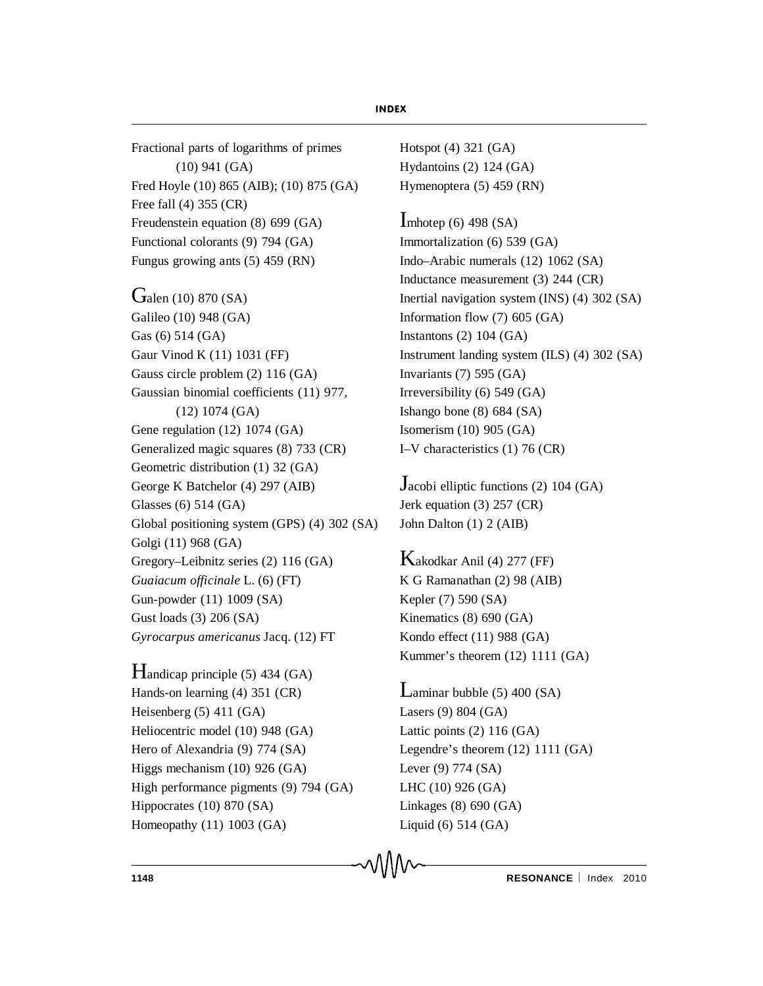Fractional parts of logarithms of primes (10) 941 (GA) Fred Hoyle (10) 865 (AIB); (10) 875 (GA) Free fall (4) 355 (CR) Freudenstein equation (8) 699 (GA) Functional colorants (9) 794 (GA) Fungus growing ants (5) 459 (RN)

**G**alen (10) 870 (SA) Galileo (10) 948 (GA) Gas (6) 514 (GA) Gaur Vinod K (11) 1031 (FF) Gauss circle problem (2) 116 (GA) Gaussian binomial coefficients (11) 977, (12) 1074 (GA) Gene regulation (12) 1074 (GA) Generalized magic squares (8) 733 (CR) Geometric distribution (1) 32 (GA) George K Batchelor (4) 297 (AIB) Glasses (6) 514 (GA) Global positioning system (GPS) (4) 302 (SA) Golgi (11) 968 (GA) Gregory–Leibnitz series (2) 116 (GA) *Guaiacum officinale* L. (6) (FT) Gun-powder (11) 1009 (SA) Gust loads (3) 206 (SA) *Gyrocarpus americanus* Jacq. (12) FT

Handicap principle (5) 434 (GA) Hands-on learning (4) 351 (CR) Heisenberg (5) 411 (GA) Heliocentric model (10) 948 (GA) Hero of Alexandria (9) 774 (SA) Higgs mechanism (10) 926 (GA) High performance pigments (9) 794 (GA) Hippocrates (10) 870 (SA) Homeopathy (11) 1003 (GA)

Hotspot (4) 321 (GA) Hydantoins (2) 124 (GA) Hymenoptera (5) 459 (RN)

Imhotep  $(6)$  498  $(SA)$ Immortalization (6) 539 (GA) Indo–Arabic numerals (12) 1062 (SA) Inductance measurement (3) 244 (CR) Inertial navigation system (INS) (4) 302 (SA) Information flow (7) 605 (GA) Instantons (2) 104 (GA) Instrument landing system (ILS) (4) 302 (SA) Invariants (7) 595 (GA) Irreversibility (6) 549 (GA) Ishango bone (8) 684 (SA) Isomerism (10) 905 (GA) I–V characteristics (1) 76 (CR)

Jacobi elliptic functions (2) 104 (GA) Jerk equation (3) 257 (CR) John Dalton (1) 2 (AIB)

Kakodkar Anil (4) 277 (FF) K G Ramanathan (2) 98 (AIB) Kepler (7) 590 (SA) Kinematics (8) 690 (GA) Kondo effect (11) 988 (GA) Kummer's theorem (12) 1111 (GA)

 $L$ aminar bubble (5) 400 (SA) Lasers (9) 804 (GA) Lattic points (2) 116 (GA) Legendre's theorem (12) 1111 (GA) Lever (9) 774 (SA) LHC (10) 926 (GA) Linkages (8) 690 (GA) Liquid (6) 514 (GA)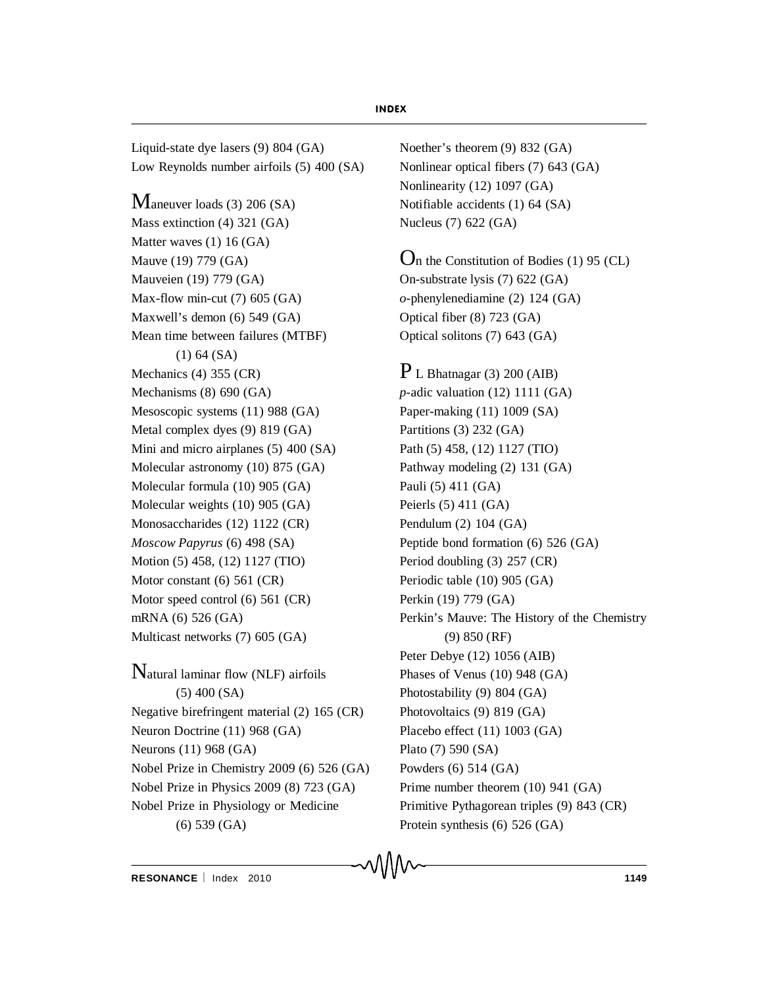Liquid-state dye lasers (9) 804 (GA) Low Reynolds number airfoils (5) 400 (SA)

Maneuver loads (3) 206 (SA) Mass extinction (4) 321 (GA) Matter waves (1) 16 (GA) Mauve (19) 779 (GA) Mauveien (19) 779 (GA) Max-flow min-cut (7) 605 (GA) Maxwell's demon (6) 549 (GA) Mean time between failures (MTBF) (1) 64 (SA) Mechanics (4) 355 (CR) Mechanisms (8) 690 (GA) Mesoscopic systems (11) 988 (GA) Metal complex dyes (9) 819 (GA) Mini and micro airplanes (5) 400 (SA) Molecular astronomy (10) 875 (GA) Molecular formula (10) 905 (GA) Molecular weights (10) 905 (GA) Monosaccharides (12) 1122 (CR) *Moscow Papyrus* (6) 498 (SA) Motion (5) 458, (12) 1127 (TIO) Motor constant (6) 561 (CR) Motor speed control (6) 561 (CR) mRNA (6) 526 (GA) Multicast networks (7) 605 (GA)

Natural laminar flow (NLF) airfoils (5) 400 (SA) Negative birefringent material (2) 165 (CR) Neuron Doctrine (11) 968 (GA) Neurons (11) 968 (GA) Nobel Prize in Chemistry 2009 (6) 526 (GA) Nobel Prize in Physics 2009 (8) 723 (GA) Nobel Prize in Physiology or Medicine (6) 539 (GA)

Noether's theorem (9) 832 (GA) Nonlinear optical fibers (7) 643 (GA) Nonlinearity (12) 1097 (GA) Notifiable accidents (1) 64 (SA) Nucleus (7) 622 (GA)

On the Constitution of Bodies (1) 95 (CL) On-substrate lysis (7) 622 (GA) *o*-phenylenediamine (2) 124 (GA) Optical fiber (8) 723 (GA) Optical solitons (7) 643 (GA)

 $P$  L Bhatnagar (3) 200 (AIB) *p*-adic valuation (12) 1111 (GA) Paper-making (11) 1009 (SA) Partitions (3) 232 (GA) Path (5) 458, (12) 1127 (TIO) Pathway modeling (2) 131 (GA) Pauli (5) 411 (GA) Peierls (5) 411 (GA) Pendulum (2) 104 (GA) Peptide bond formation (6) 526 (GA) Period doubling (3) 257 (CR) Periodic table (10) 905 (GA) Perkin (19) 779 (GA) Perkin's Mauve: The History of the Chemistry (9) 850 (RF) Peter Debye (12) 1056 (AIB) Phases of Venus (10) 948 (GA) Photostability (9) 804 (GA) Photovoltaics (9) 819 (GA) Placebo effect (11) 1003 (GA) Plato (7) 590 (SA) Powders (6) 514 (GA) Prime number theorem (10) 941 (GA) Primitive Pythagorean triples (9) 843 (CR) Protein synthesis (6) 526 (GA)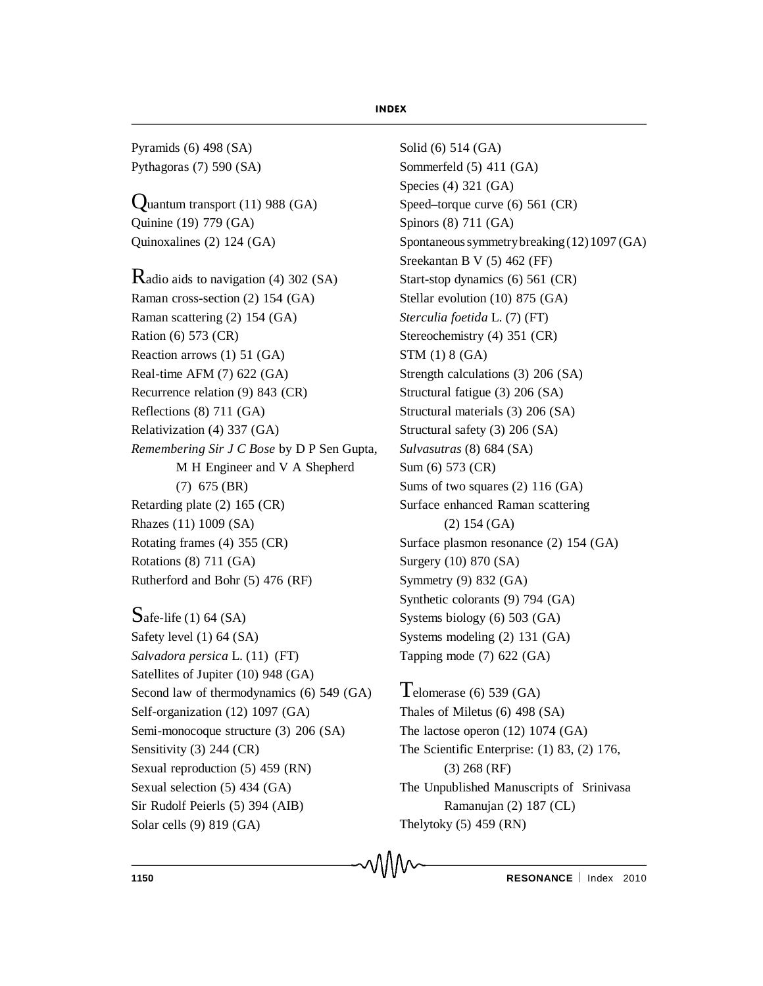Pyramids (6) 498 (SA) Pythagoras (7) 590 (SA)

 $\Omega$ uantum transport (11) 988 (GA) Quinine (19) 779 (GA) Quinoxalines (2) 124 (GA)

Radio aids to navigation (4) 302 (SA) Raman cross-section (2) 154 (GA) Raman scattering (2) 154 (GA) Ration (6) 573 (CR) Reaction arrows (1) 51 (GA) Real-time AFM (7) 622 (GA) Recurrence relation (9) 843 (CR) Reflections (8) 711 (GA) Relativization (4) 337 (GA) *Remembering Sir J C Bose* by D P Sen Gupta, M H Engineer and V A Shepherd (7) 675 (BR) Retarding plate (2) 165 (CR) Rhazes (11) 1009 (SA) Rotating frames (4) 355 (CR) Rotations (8) 711 (GA) Rutherford and Bohr (5) 476 (RF)

 $S$ afe-life (1) 64 (SA) Safety level (1) 64 (SA) *Salvadora persica* L. (11) (FT) Satellites of Jupiter (10) 948 (GA) Second law of thermodynamics (6) 549 (GA) Self-organization (12) 1097 (GA) Semi-monocoque structure (3) 206 (SA) Sensitivity (3) 244 (CR) Sexual reproduction (5) 459 (RN) Sexual selection (5) 434 (GA) Sir Rudolf Peierls (5) 394 (AIB) Solar cells (9) 819 (GA)

Solid (6) 514 (GA) Sommerfeld (5) 411 (GA) Species (4) 321 (GA) Speed–torque curve (6) 561 (CR) Spinors (8) 711 (GA) Spontaneous symmetrybreaking(12)1097 (GA) Sreekantan B V (5) 462 (FF) Start-stop dynamics (6) 561 (CR) Stellar evolution (10) 875 (GA) *Sterculia foetida* L. (7) (FT) Stereochemistry (4) 351 (CR) STM (1) 8 (GA) Strength calculations (3) 206 (SA) Structural fatigue (3) 206 (SA) Structural materials (3) 206 (SA) Structural safety (3) 206 (SA) *Sulvasutras* (8) 684 (SA) Sum (6) 573 (CR) Sums of two squares (2) 116 (GA) Surface enhanced Raman scattering (2) 154 (GA) Surface plasmon resonance (2) 154 (GA) Surgery (10) 870 (SA) Symmetry (9) 832 (GA) Synthetic colorants (9) 794 (GA) Systems biology (6) 503 (GA) Systems modeling (2) 131 (GA) Tapping mode (7) 622 (GA)

Telomerase  $(6)$  539  $(GA)$ Thales of Miletus (6) 498 (SA) The lactose operon (12) 1074 (GA) The Scientific Enterprise: (1) 83, (2) 176, (3) 268 (RF) The Unpublished Manuscripts of Srinivasa Ramanujan (2) 187 (CL) Thelytoky  $(5)$  459 (RN)

**1150 RESONANCE** | Index 2010